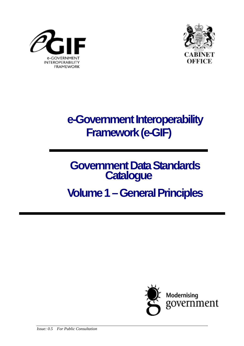



## **e-Government Interoperability Framework (e-GIF)**

# **Government Data Standards Catalogue**

## **Volume 1 – General Principles**

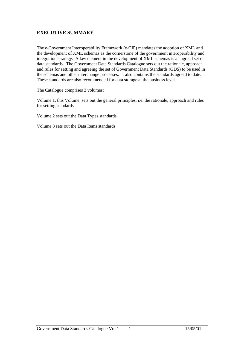#### **EXECUTIVE SUMMARY**

The e-Government Interoperability Framework (e-GIF) mandates the adoption of XML and the development of XML schemas as the cornerstone of the government interoperability and integration strategy. A key element in the development of XML schemas is an agreed set of data standards. The Government Data Standards Catalogue sets out the rationale, approach and rules for setting and agreeing the set of Government Data Standards (GDS) to be used in the schemas and other interchange processes. It also contains the standards agreed to date. These standards are also recommended for data storage at the business level.

The Catalogue comprises 3 volumes:

Volume 1, this Volume, sets out the general principles, i.e. the rationale, approach and rules for setting standards

Volume 2 sets out the Data Types standards

Volume 3 sets out the Data Items standards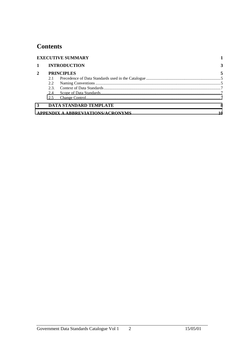### **Contents**

| <b>EXECUTIVE SUMMARY</b> |      |                                          |    |
|--------------------------|------|------------------------------------------|----|
| $\mathbf{1}$             |      | <b>INTRODUCTION</b>                      |    |
| $\mathbf{2}$             |      | <b>PRINCIPLES</b>                        | 5  |
|                          | 2.1  |                                          |    |
|                          | 2.2  |                                          |    |
|                          | 2.3. |                                          |    |
|                          | 2.4  |                                          |    |
|                          | 2.5  |                                          |    |
| 3                        |      | <b>DATA STANDARD TEMPLATE</b>            | 8  |
|                          |      | <b>APPENDIX A ABBREVIATIONS/ACRONYMS</b> | 10 |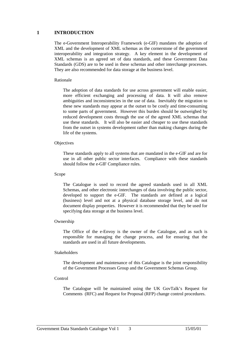#### **1 INTRODUCTION**

The e-Government Interoperability Framework (e-GIF) mandates the adoption of XML and the development of XML schemas as the cornerstone of the government interoperability and integration strategy. A key element in the development of XML schemas is an agreed set of data standards, and these Government Data Standards (GDS) are to be used in these schemas and other interchange processes. They are also recommended for data storage at the business level.

#### Rationale

The adoption of data standards for use across government will enable easier, more efficient exchanging and processing of data. It will also remove ambiguities and inconsistencies in the use of data. Inevitably the migration to these new standards may appear at the outset to be costly and time-consuming to some parts of government. However this burden should be outweighed by reduced development costs through the use of the agreed XML schemas that use these standards. It will also be easier and cheaper to use these standards from the outset in systems development rather than making changes during the life of the systems.

#### **Objectives**

These standards apply to all systems that are mandated in the e-GIF and are for use in all other public sector interfaces. Compliance with these standards should follow the e-GIF Compliance rules.

#### Scope

The Catalogue is used to record the agreed standards used in all XML Schemas, and other electronic interchanges of data involving the public sector, developed to support the e-GIF. The standards are defined at a logical (business) level and not at a physical database storage level, and do not document display properties. However it is recommended that they be used for specifying data storage at the business level.

#### Ownership

The Office of the e-Envoy is the owner of the Catalogue, and as such is responsible for managing the change process, and for ensuring that the standards are used in all future developments.

#### Stakeholders

The development and maintenance of this Catalogue is the joint responsibility of the Government Processes Group and the Government Schemas Group.

#### Control

The Catalogue will be maintained using the UK GovTalk's Request for Comments (RFC) and Request for Proposal (RFP) change control procedures.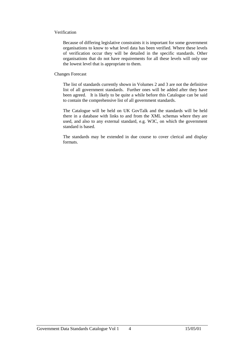#### Verification

Because of differing legislative constraints it is important for some government organisations to know to what level data has been verified. Where these levels of verification occur they will be detailed in the specific standards. Other organisations that do not have requirements for all these levels will only use the lowest level that is appropriate to them.

#### Changes Forecast

The list of standards currently shown in Volumes 2 and 3 are not the definitive list of all government standards. Further ones will be added after they have been agreed. It is likely to be quite a while before this Catalogue can be said to contain the comprehensive list of all government standards.

The Catalogue will be held on UK GovTalk and the standards will be held there in a database with links to and from the XML schemas where they are used, and also to any external standard, e.g. W3C, on which the government standard is based.

The standards may be extended in due course to cover clerical and display formats.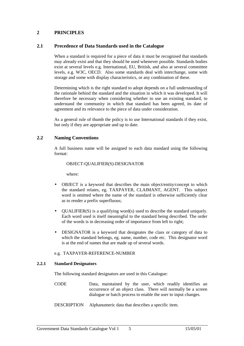#### **2 PRINCIPLES**

#### **2.1 Precedence of Data Standards used in the Catalogue**

When a standard is required for a piece of data it must be recognised that standards may already exist and that they should be used whenever possible. Standards bodies exist at several levels e.g. International, EU, British, and also at several committee levels, e.g. W3C, OECD. Also some standards deal with interchange, some with storage and some with display characteristics, or any combination of these.

Determining which is the right standard to adopt depends on a full understanding of the rationale behind the standard and the situation in which it was developed. It will therefore be necessary when considering whether to use an existing standard, to understand the community in which that standard has been agreed, its date of agreement and its relevance to the piece of data under consideration.

As a general rule of thumb the policy is to use International standards if they exist, but only if they are appropriate and up to date.

#### **2.2 Naming Conventions**

A full business name will be assigned to each data standard using the following format:

#### OBJECT-QUALIFIER(S)-DESIGNATOR

where:

- OBJECT is a keyword that describes the main object/entity/concept to which the standard relates, eg. TAXPAYER, CLAIMANT, AGENT. This subject word is omitted where the name of the standard is otherwise sufficiently clear as to render a prefix superfluous;
- QUALIFIER(S) is a qualifying word(s) used to describe the standard uniquely. Each word used is itself meaningful to the standard being described. The order of the words is in decreasing order of importance from left to right;
- DESIGNATOR is a keyword that designates the class or category of data to which the standard belongs, eg. name, number, code etc. This designator word is at the end of names that are made up of several words.

#### e.g. TAXPAYER-REFERENCE-NUMBER

#### **2.2.1 Standard Designators**

The following standard designators are used in this Catalogue:

- CODE Data, maintained by the user, which readily identifies an occurrence of an object class. There will normally be a screen dialogue or batch process to enable the user to input changes.
- DESCRIPTION Alphanumeric data that describes a specific item.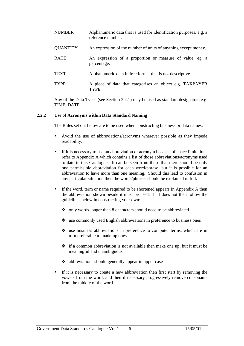| <b>NUMBER</b>   | Alphanumeric data that is used for identification purposes, e.g. a<br>reference number. |
|-----------------|-----------------------------------------------------------------------------------------|
| <b>QUANTITY</b> | An expression of the number of units of anything except money.                          |
| <b>RATE</b>     | An expression of a proportion or measure of value, eg. a<br>percentage.                 |
| <b>TEXT</b>     | Alphanumeric data in free format that is not descriptive.                               |
| <b>TYPE</b>     | A piece of data that categorises an object e.g. TAXPAYER<br>TYPE.                       |

Any of the Data Types (see Section 2.4.1) may be used as standard designators e.g. TIME, DATE

#### **2.2.2 Use of Acronyms within Data Standard Naming**

The Rules set out below are to be used when constructing business or data names.

- Avoid the use of abbreviations/acronyms wherever possible as they impede readability.
- If it is necessary to use an abbreviation or acronym because of space limitations refer to Appendix A which contains a list of those abbreviations/acronyms used to date in this Catalogue. It can be seen from these that there should be only one permissible abbreviation for each word/phrase, but it is possible for an abbreviation to have more than one meaning. Should this lead to confusion in any particular situation then the words/phrases should be explained in full.
- If the word, term or name required to be shortened appears in Appendix A then the abbreviation shown beside it must be used. If it does not then follow the guidelines below in constructing your own:
	- -only words longer than 8 characters should need to be abbreviated
	- use commonly used English abbreviations in preference to business ones
	- -use business abbreviations in preference to computer terms, which are in turn preferable to made-up ones
	- -if a common abbreviation is not available then make one up, but it must be meaningful and unambiguous
	- -abbreviations should generally appear in upper case
- If it is necessary to create a new abbreviation then first start by removing the vowels from the word, and then if necessary progressively remove consonants from the middle of the word.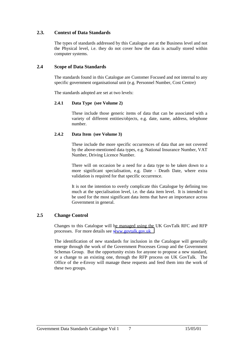#### <span id="page-7-0"></span>**2.3. Context of Data Standards**

The types of standards addressed by this Catalogue are at the Business level and not the Physical level, i.e. they do not cover how the data is actually stored within computer systems.

#### **2.4 Scope of Data Standards**

The standards found in this Catalogue are Customer Focused and not internal to any specific government organisational unit (e.g. Personnel Number, Cost Centre)

The standards adopted are set at two levels:

#### **2.4.1 Data Type (see Volume 2)**

These include those generic items of data that can be associated with a variety of different entities/objects, e.g. date, name, address, telephone number.

#### **2.4.2 Data Item (see Volume 3)**

These include the more specific occurrences of data that are not covered by the above-mentioned data types, e.g. National Insurance Number, VAT Number, Driving Licence Number.

There will on occasion be a need for a data type to be taken down to a more significant specialisation, e.g. Date - Death Date, where extra validation is required for that specific occurrence.

It is not the intention to overly complicate this Catalogue by defining too much at the specialisation level, i.e. the data item level. It is intended to be used for the most significant data items that have an importance across Government in general.

#### **2.5 Change Control**

Changes to this Catalogue will be managed using the UK GovTalk RFC and RFP processes. For more details see [www.govtalk.gov.uk](http://www.govtalk.gov.uk/)

The identification of new standards for inclusion in the Catalogue will generally emerge through the work of the Government Processes Group and the Government Schemas Group. But the opportunity exists for anyone to propose a new standard, or a change to an existing one, through the RFP process on UK GovTalk. The Office of the e-Envoy will manage these requests and feed them into the work of these two groups.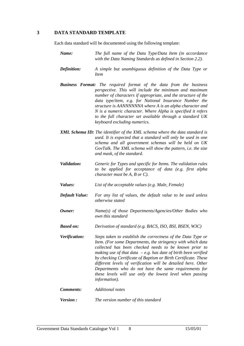#### <span id="page-8-0"></span>**3 DATA STANDARD TEMPLATE**

Each data standard will be documented using the following template:

- *Name: The full name of the Data Type/Data Item (in accordance with the Data Naming Standards as defined in Section 2.2).*
- *Definition: A simple but unambiguous definition of the Data Type or Item*
- *Business Format: The required format of the data from the business perspective. This will include the minimum and maximum number of characters if appropriate, and the structure of the data type/item, e.g. for National Insurance Number the structure is AANNNNNNA where A is an alpha character and N is a numeric character. Where Alpha is specified it refers to the full character set available through a standard UK keyboard excluding numerics.*
- *XML Schema ID: The identifier of the XML schema where the data standard is used. It is expected that a standard will only be used in one schema and all government schemas will be held on UK GovTalk. The XML schema will show the pattern, i.e. the size and mask, of the standard.*
- *Validation: Generic for Types and specific for Items. The validation rules to be applied for acceptance of data (e.g. first alpha character must be A, B or C).*
- *Values: List of the acceptable values (e.g. Male, Female)*
- *Default Value: For any list of values, the default value to be used unless otherwise stated*
- *Owner: Name(s) of those Departments/Agencies/Other Bodies who own this standard*
- *Based on: Derivation of standard (e.g. BACS, ISO, BSI, BSEN, W3C)*
- *Verification: Steps taken to establish the correctness of the Data Type or Item. (For some Departments, the stringency with which data collected has been checked needs to be known prior to making use of that data – e.g. has date of birth been verified by checking Certificate of Baptism or Birth Certificate. These different levels of verification will be detailed here. Other Departments who do not have the same requirements for these levels will use only the lowest level when passing information).*
- *Comments: Additional notes*
- *Version : The version number of this standard*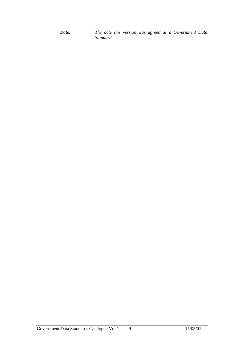*Date: The date this version was agreed as a Government Data Standard*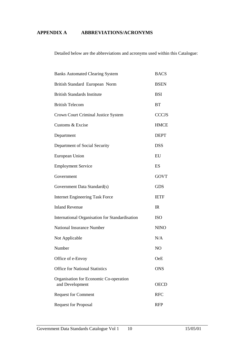#### <span id="page-10-0"></span>**APPENDIX A ABBREVIATIONS/ACRONYMS**

Detailed below are the abbreviations and acronyms used within this Catalogue:

| <b>Banks Automated Clearing System</b>                    | <b>BACS</b>    |
|-----------------------------------------------------------|----------------|
| British Standard European Norm                            | <b>BSEN</b>    |
| <b>British Standards Institute</b>                        | <b>BSI</b>     |
| <b>British Telecom</b>                                    | <b>BT</b>      |
| Crown Court Criminal Justice System                       | <b>CCCJS</b>   |
| Customs & Excise                                          | <b>HMCE</b>    |
| Department                                                | <b>DEPT</b>    |
| Department of Social Security                             | <b>DSS</b>     |
| European Union                                            | EU             |
| <b>Employment Service</b>                                 | ES             |
| Government                                                | <b>GOVT</b>    |
| Government Data Standard(s)                               | <b>GDS</b>     |
| <b>Internet Engineering Task Force</b>                    | <b>IETF</b>    |
| <b>Inland Revenue</b>                                     | IR             |
| International Organisation for Standardisation            | <b>ISO</b>     |
| <b>National Insurance Number</b>                          | <b>NINO</b>    |
| Not Applicable                                            | N/A            |
| Number                                                    | N <sub>O</sub> |
| Office of e-Envoy                                         | OeE            |
| <b>Office for National Statistics</b>                     | <b>ONS</b>     |
| Organisation for Economic Co-operation<br>and Development | <b>OECD</b>    |
| <b>Request for Comment</b>                                | <b>RFC</b>     |
| <b>Request for Proposal</b>                               | <b>RFP</b>     |